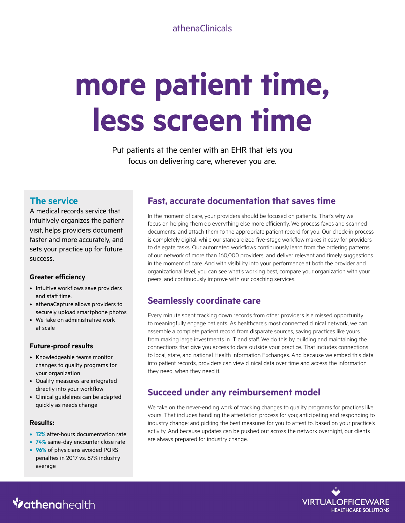#### athenaClinicals

# **more patient time, less screen time**

Put patients at the center with an EHR that lets you focus on delivering care, wherever you are.

#### **The service**

A medical records service that intuitively organizes the patient visit, helps providers document faster and more accurately, and sets your practice up for future success.

#### **Greater efficiency**

- Intuitive workflows save providers and staff time.
- athenaCapture allows providers to securely upload smartphone photos
- We take on administrative work at scale

#### **Future-proof results**

- Knowledgeable teams monitor changes to quality programs for your organization
- Quality measures are integrated directly into your workflow
- Clinical guidelines can be adapted quickly as needs change

#### **Results:**

- **• 12%** after-hours documentation rate
- **• 74%** same-day encounter close rate
- **• 96%** of physicians avoided PQRS penalties in 2017 vs. 67% industry average

## **Fast, accurate documentation that saves time**

In the moment of care, your providers should be focused on patients. That's why we focus on helping them do everything else more efficiently. We process faxes and scanned documents, and attach them to the appropriate patient record for you. Our check-in process is completely digital, while our standardized five-stage workflow makes it easy for providers to delegate tasks. Our automated workflows continuously learn from the ordering patterns of our network of more than 160,000 providers, and deliver relevant and timely suggestions in the moment of care. And with visibility into your performance at both the provider and organizational level, you can see what's working best, compare your organization with your peers, and continuously improve with our coaching services.

## **Seamlessly coordinate care**

Every minute spent tracking down records from other providers is a missed opportunity to meaningfully engage patients. As healthcare's most connected clinical network, we can assemble a complete patient record from disparate sources, saving practices like yours from making large investments in IT and staff. We do this by building and maintaining the connections that give you access to data outside your practice. That includes connections to local, state, and national Health Information Exchanges. And because we embed this data into patient records, providers can view clinical data over time and access the information they need, when they need it.

## **Succeed under any reimbursement model**

We take on the never-ending work of tracking changes to quality programs for practices like yours. That includes handling the attestation process for you; anticipating and responding to industry change; and picking the best measures for you to attest to, based on your practice's activity. And because updates can be pushed out across the network overnight, our clients are always prepared for industry change.



# **Vathenahealth**